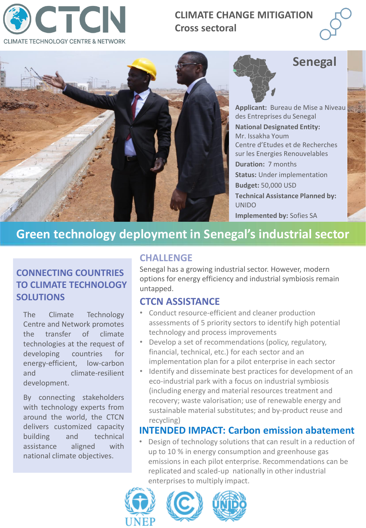

## **CLIMATE CHANGE MITIGATION Cross sectoral**



# **Senegal**

**Applicant:** Bureau de Mise a Niveau des Entreprises du Senegal **National Designated Entity:**  Mr. Issakha Youm Centre d'Etudes et de Recherches sur les Energies Renouvelables **Duration:** 7 months **Status:** Under implementation **Budget:** 50,000 USD **Technical Assistance Planned by:**  UNIDO **Implemented by:** Sofies SA

## **Green technology deployment in Senegal's industrial sector**

## **CONNECTING COUNTRIES TO CLIMATE TECHNOLOGY SOLUTIONS**

The Climate Technology Centre and Network promotes the transfer of climate technologies at the request of developing countries for energy-efficient, low-carbon and climate-resilient development.

By connecting stakeholders with technology experts from around the world, the CTCN delivers customized capacity building and technical assistance aligned with national climate objectives.

## **CHALLENGE**

Senegal has a growing industrial sector. However, modern options for energy efficiency and industrial symbiosis remain untapped.

## **CTCN ASSISTANCE**

- Conduct resource-efficient and cleaner production assessments of 5 priority sectors to identify high potential technology and process improvements
- Develop a set of recommendations (policy, regulatory, financial, technical, etc.) for each sector and an implementation plan for a pilot enterprise in each sector
- Identify and disseminate best practices for development of an eco-industrial park with a focus on industrial symbiosis (including energy and material resources treatment and recovery; waste valorisation; use of renewable energy and sustainable material substitutes; and by-product reuse and recycling)

## **INTENDED IMPACT: Carbon emission abatement**

• Design of technology solutions that can result in a reduction of up to 10 % in energy consumption and greenhouse gas emissions in each pilot enterprise. Recommendations can be replicated and scaled-up nationally in other industrial enterprises to multiply impact.